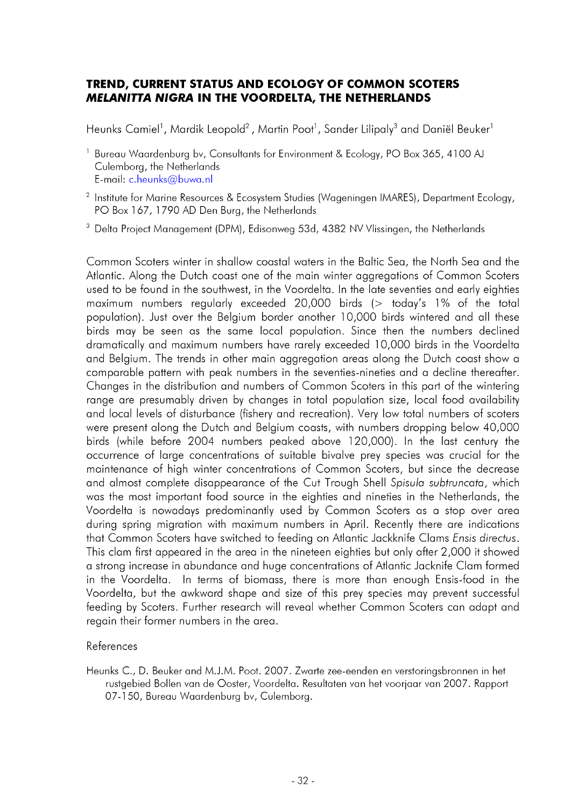## **TREND, CURRENT STATUS AND ECOLOGY OF COMMON SCOTERS** *MELANITTA NIGRA* **IN THE VOORDELTA, THE NETHERLANDS**

Heunks Camiel<sup>1</sup>, Mardik Leopold<sup>2</sup>, Martin Poot<sup>1</sup>, Sander Lilipaly<sup>3</sup> and Daniël Beuker<sup>1</sup>

- <sup>1</sup> Bureau Waardenburg by, Consultants for Environment & Ecology, PO Box 365, 4100 AJ Culemborg, the Netherlands E-mail: c.heunks@buwa.nl
- <sup>2</sup> Institute for Marine Resources & Ecosystem Studies (Wageningen IMARES), Department Ecology, PO Box 167, 1790 AD Den Burg, the Netherlands
- <sup>3</sup> Delta Project Management (DPM), Edisonweg 53d, 4382 NV Vlissingen, the Netherlands

Common Scoters winter in shallow coastal waters in the Baltic Sea, the North Sea and the Atlantic. Along the Dutch coast one of the main winter aggregations of Common Scoters used to be found in the southwest, in the Voordelta. In the late seventies and early eighties maximum numbers regularly exceeded 20,000 birds  $($  today's  $1\%$  of the total population). Just over the Belgium border another 10,000 birds wintered and all these birds may be seen as the same local population. Since then the numbers declined dramatically and maximum numbers have rarely exceeded 10,000 birds in the Voordelta and Belgium. The trends in other main aggregation areas along the Dutch coast show a comparable pattern with peak numbers in the seventies-nineties and a decline thereafter. Changes in the distribution and numbers of Common Scoters in this part of the wintering range are presumably driven by changes in total population size, local food availability and local levels of disturbance (fishery and recreation). Very low total numbers of scoters were present along the Dutch and Belgium coasts, with numbers dropping below 40,000 birds (while before 2004 numbers peaked above 120,000). In the last century the occurrence of large concentrations of suitable bivalve prey species was crucial for the maintenance of high winter concentrations of Common Scoters, but since the decrease and almost complete disappearance of the Cut Trough Shell Spisula subtruncata, which was the most important food source in the eighties and nineties in the Netherlands, the Voordelta is nowadays predominantly used by Common Scoters as a stop over area during spring migration with maximum numbers in April. Recently there are indications that Common Scoters have switched to feeding on Atlantic Jackknife Clams *Ensis directus*. This clam first appeared in the area in the nineteen eighties but only after 2,000 it showed a strong increase in abundance and huge concentrations of Atlantic Jacknife Clam formed in the Voordelta. In terms of biomass, there is more than enough Ensis-food in the Voordelta, but the awkward shape and size of this prey species may prevent successful feeding by Scoters. Further research will reveal whether Common Scoters can adapt and regain their former numbers in the area.

## References

Heunks C., D. Beuker and M.J.M. Poot. 2007. Zwarte zee-eenden en verstoringsbronnen in het rustgebied Bollen van de Ooster, Voordelta. Resultaten van het voorjaar van 2007. Rapport 07-150, Bureau Waardenburg bv, Culemborg.